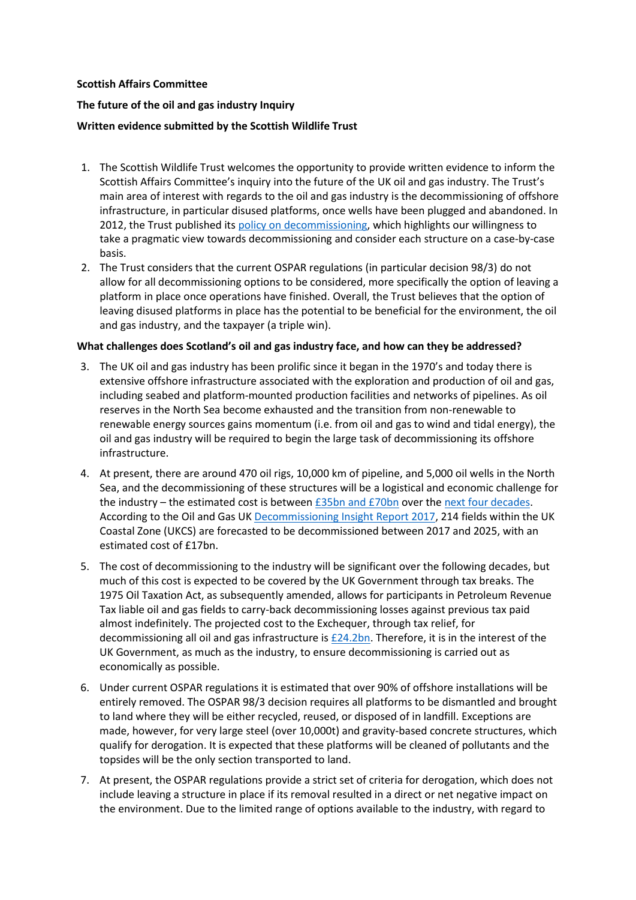## **Scottish Affairs Committee**

## **The future of the oil and gas industry Inquiry**

## **Written evidence submitted by the Scottish Wildlife Trust**

- 1. The Scottish Wildlife Trust welcomes the opportunity to provide written evidence to inform the Scottish Affairs Committee's inquiry into the future of the UK oil and gas industry. The Trust's main area of interest with regards to the oil and gas industry is the decommissioning of offshore infrastructure, in particular disused platforms, once wells have been plugged and abandoned. In 2012, the Trust published its [policy on decommissioning,](https://scottishwildlifetrust.org.uk/wp-content/uploads/2016/09/002_293__decommissioningoffshoreinfrastructure_policy_1386585277.pdf) which highlights our willingness to take a pragmatic view towards decommissioning and consider each structure on a case-by-case basis.
- 2. The Trust considers that the current OSPAR regulations (in particular decision 98/3) do not allow for all decommissioning options to be considered, more specifically the option of leaving a platform in place once operations have finished. Overall, the Trust believes that the option of leaving disused platforms in place has the potential to be beneficial for the environment, the oil and gas industry, and the taxpayer (a triple win).

# **What challenges does Scotland's oil and gas industry face, and how can they be addressed?**

- 3. The UK oil and gas industry has been prolific since it began in the 1970's and today there is extensive offshore infrastructure associated with the exploration and production of oil and gas, including seabed and platform-mounted production facilities and networks of pipelines. As oil reserves in the North Sea become exhausted and the transition from non-renewable to renewable energy sources gains momentum (i.e. from oil and gas to wind and tidal energy), the oil and gas industry will be required to begin the large task of decommissioning its offshore infrastructure.
- 4. At present, there are around 470 oil rigs, 10,000 km of pipeline, and 5,000 oil wells in the North Sea, and the decommissioning of these structures will be a logistical and economic challenge for the industry – the estimated cost is between [£35bn and](http://decomnorthsea.com/news/the-real-costs-of-decommissioning) £70bn over the [next four decades.](https://www.taxjournal.com/articles/budget-2017-oil-gas-decommissioning-relief-16032017) According to the Oil and Gas UK [Decommissioning Insight Report 2017,](https://cld.bz/BoPAqso) 214 fields within the UK Coastal Zone (UKCS) are forecasted to be decommissioned between 2017 and 2025, with an estimated cost of £17bn.
- 5. The cost of decommissioning to the industry will be significant over the following decades, but much of this cost is expected to be covered by the UK Government through tax breaks. The 1975 Oil Taxation Act, as subsequently amended, allows for participants in Petroleum Revenue Tax liable oil and gas fields to carry-back decommissioning losses against previous tax paid almost indefinitely. The projected cost to the Exchequer, through tax relief, for decommissioning all oil and gas infrastructure is [£24.2bn.](https://assets.publishing.service.gov.uk/government/uploads/system/uploads/attachment_data/file/635587/HMRC_Annual_Report_and_Accounts_2016-17_web_.pdf) Therefore, it is in the interest of the UK Government, as much as the industry, to ensure decommissioning is carried out as economically as possible.
- 6. Under current OSPAR regulations it is estimated that over 90% of offshore installations will be entirely removed. The OSPAR 98/3 decision requires all platforms to be dismantled and brought to land where they will be either recycled, reused, or disposed of in landfill. Exceptions are made, however, for very large steel (over 10,000t) and gravity-based concrete structures, which qualify for derogation. It is expected that these platforms will be cleaned of pollutants and the topsides will be the only section transported to land.
- 7. At present, the OSPAR regulations provide a strict set of criteria for derogation, which does not include leaving a structure in place if its removal resulted in a direct or net negative impact on the environment. Due to the limited range of options available to the industry, with regard to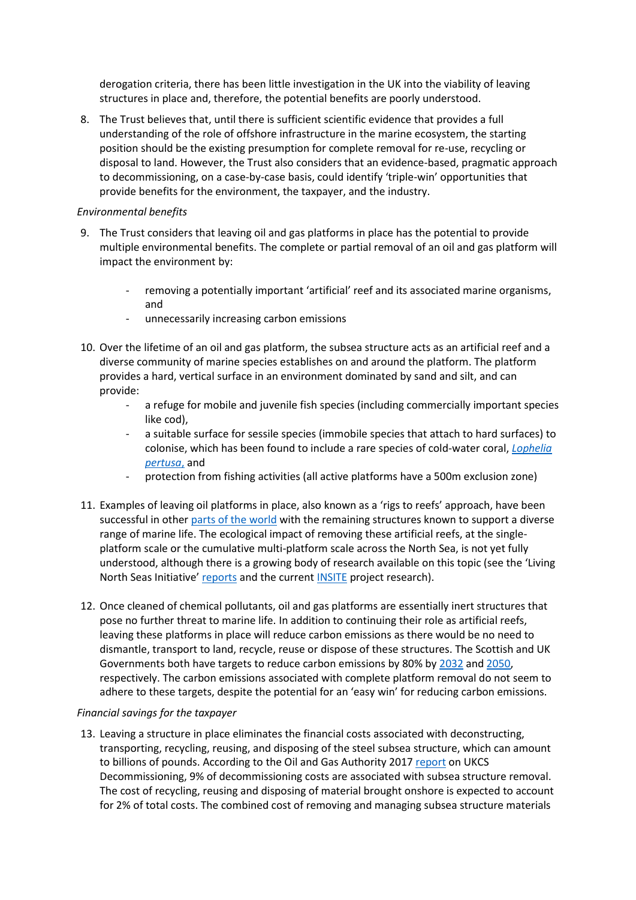derogation criteria, there has been little investigation in the UK into the viability of leaving structures in place and, therefore, the potential benefits are poorly understood.

8. The Trust believes that, until there is sufficient scientific evidence that provides a full understanding of the role of offshore infrastructure in the marine ecosystem, the starting position should be the existing presumption for complete removal for re-use, recycling or disposal to land. However, the Trust also considers that an evidence-based, pragmatic approach to decommissioning, on a case-by-case basis, could identify 'triple-win' opportunities that provide benefits for the environment, the taxpayer, and the industry.

## *Environmental benefits*

- 9. The Trust considers that leaving oil and gas platforms in place has the potential to provide multiple environmental benefits. The complete or partial removal of an oil and gas platform will impact the environment by:
	- removing a potentially important 'artificial' reef and its associated marine organisms, and
	- unnecessarily increasing carbon emissions
- 10. Over the lifetime of an oil and gas platform, the subsea structure acts as an artificial reef and a diverse community of marine species establishes on and around the platform. The platform provides a hard, vertical surface in an environment dominated by sand and silt, and can provide:
	- a refuge for mobile and juvenile fish species (including commercially important species like cod),
	- a suitable surface for sessile species (immobile species that attach to hard surfaces) to colonise, which has been found to include a rare species of cold-water coral, *[Lophelia](https://www.sciencedirect.com/science/article/pii/S0025326X05004534) [pertusa](https://www.sciencedirect.com/science/article/pii/S0025326X05004534)*, and
	- protection from fishing activities (all active platforms have a 500m exclusion zone)
- 11. Examples of leaving oil platforms in place, also known as a 'rigs to reefs' approach, have been successful in other [parts of the world](https://www.nytimes.com/2016/03/08/science/marine-life-thrives-in-unlikely-place-offshore-oil-rigs.html?_r=0) with the remaining structures known to support a diverse range of marine life. The ecological impact of removing these artificial reefs, at the singleplatform scale or the cumulative multi-platform scale across the North Sea, is not yet fully understood, although there is a growing body of research available on this topic (see the 'Living North Seas Initiative' [reports](http://ecoeffective.biz/?page_id=81) and the curren[t INSITE](https://www.insitenorthsea.org/) project research).
- 12. Once cleaned of chemical pollutants, oil and gas platforms are essentially inert structures that pose no further threat to marine life. In addition to continuing their role as artificial reefs, leaving these platforms in place will reduce carbon emissions as there would be no need to dismantle, transport to land, recycle, reuse or dispose of these structures. The Scottish and UK Governments both have targets to reduce carbon emissions by 80% by [2032](http://www.gov.scot/Publications/2018/02/8867) an[d 2050,](https://www.gov.uk/government/publications/2010-to-2015-government-policy-greenhouse-gas-emissions/2010-to-2015-government-policy-greenhouse-gas-emissions) respectively. The carbon emissions associated with complete platform removal do not seem to adhere to these targets, despite the potential for an 'easy win' for reducing carbon emissions.

### *Financial savings for the taxpayer*

13. Leaving a structure in place eliminates the financial costs associated with deconstructing, transporting, recycling, reusing, and disposing of the steel subsea structure, which can amount to billions of pounds. According to the Oil and Gas Authority 2017 [report](https://www.ogauthority.co.uk/media/4742/ukcs-decommissioning-cost-report-v2.pdf) on UKCS Decommissioning, 9% of decommissioning costs are associated with subsea structure removal. The cost of recycling, reusing and disposing of material brought onshore is expected to account for 2% of total costs. The combined cost of removing and managing subsea structure materials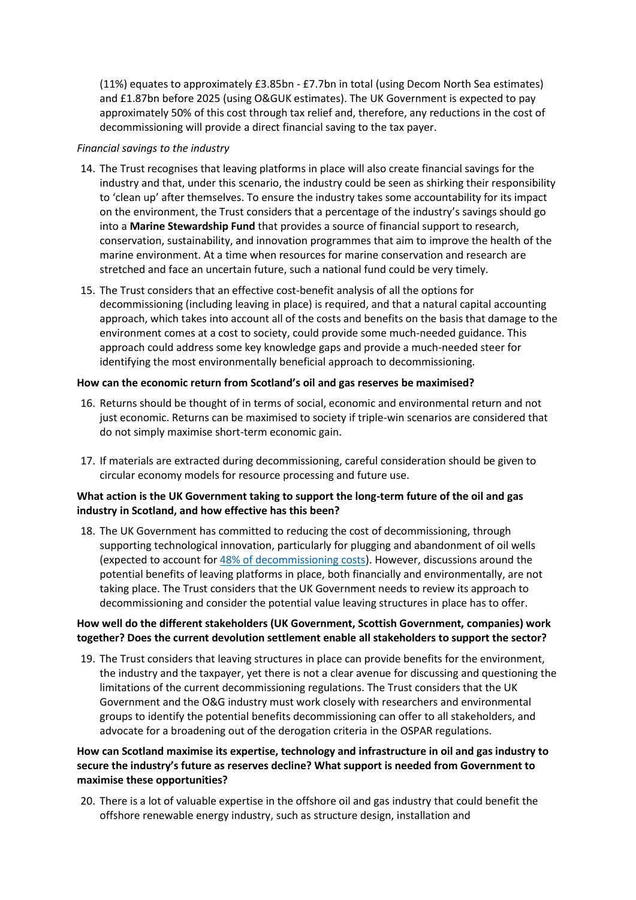(11%) equates to approximately £3.85bn - £7.7bn in total (using Decom North Sea estimates) and £1.87bn before 2025 (using O&GUK estimates). The UK Government is expected to pay approximately 50% of this cost through tax relief and, therefore, any reductions in the cost of decommissioning will provide a direct financial saving to the tax payer.

#### *Financial savings to the industry*

- 14. The Trust recognises that leaving platforms in place will also create financial savings for the industry and that, under this scenario, the industry could be seen as shirking their responsibility to 'clean up' after themselves. To ensure the industry takes some accountability for its impact on the environment, the Trust considers that a percentage of the industry's savings should go into a **Marine Stewardship Fund** that provides a source of financial support to research, conservation, sustainability, and innovation programmes that aim to improve the health of the marine environment. At a time when resources for marine conservation and research are stretched and face an uncertain future, such a national fund could be very timely.
- 15. The Trust considers that an effective cost-benefit analysis of all the options for decommissioning (including leaving in place) is required, and that a natural capital accounting approach, which takes into account all of the costs and benefits on the basis that damage to the environment comes at a cost to society, could provide some much-needed guidance. This approach could address some key knowledge gaps and provide a much-needed steer for identifying the most environmentally beneficial approach to decommissioning.

### **How can the economic return from Scotland's oil and gas reserves be maximised?**

- 16. Returns should be thought of in terms of social, economic and environmental return and not just economic. Returns can be maximised to society if triple-win scenarios are considered that do not simply maximise short-term economic gain.
- 17. If materials are extracted during decommissioning, careful consideration should be given to circular economy models for resource processing and future use.

## **What action is the UK Government taking to support the long-term future of the oil and gas industry in Scotland, and how effective has this been?**

18. The UK Government has committed to reducing the cost of decommissioning, through supporting technological innovation, particularly for plugging and abandonment of oil wells (expected to account for [48% of decommissioning costs\)](https://www.ogauthority.co.uk/media/4742/ukcs-decommissioning-cost-report-v2.pdf). However, discussions around the potential benefits of leaving platforms in place, both financially and environmentally, are not taking place. The Trust considers that the UK Government needs to review its approach to decommissioning and consider the potential value leaving structures in place has to offer.

## **How well do the different stakeholders (UK Government, Scottish Government, companies) work together? Does the current devolution settlement enable all stakeholders to support the sector?**

19. The Trust considers that leaving structures in place can provide benefits for the environment, the industry and the taxpayer, yet there is not a clear avenue for discussing and questioning the limitations of the current decommissioning regulations. The Trust considers that the UK Government and the O&G industry must work closely with researchers and environmental groups to identify the potential benefits decommissioning can offer to all stakeholders, and advocate for a broadening out of the derogation criteria in the OSPAR regulations.

# **How can Scotland maximise its expertise, technology and infrastructure in oil and gas industry to secure the industry's future as reserves decline? What support is needed from Government to maximise these opportunities?**

20. There is a lot of valuable expertise in the offshore oil and gas industry that could benefit the offshore renewable energy industry, such as structure design, installation and